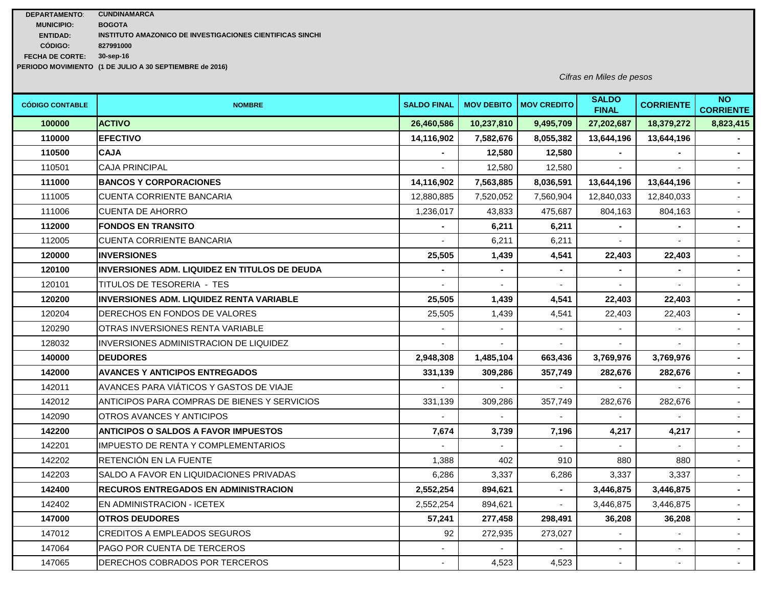| <b>DEPARTAMENTO:</b>   | <b>CUNDINAMARCA</b>                                       |
|------------------------|-----------------------------------------------------------|
| <b>MUNICIPIO:</b>      | <b>BOGOTA</b>                                             |
| <b>ENTIDAD:</b>        | INSTITUTO AMAZONICO DE INVESTIGACIONES CIENTIFICAS SINCHI |
| CÓDIGO:                | 827991000                                                 |
| <b>FECHA DE CORTE:</b> | 30-sep-16                                                 |
|                        | PERIODO MOVIMIENTO (1 DE JULIO A 30 SEPTIEMBRE de 2016)   |

*Cifras en Miles de pesos*

| <b>CÓDIGO CONTABLE</b> | <b>NOMBRE</b>                                        | <b>SALDO FINAL</b> |            | <b>MOV DEBITO   MOV CREDITO</b> | <b>SALDO</b><br><b>FINAL</b> | <b>CORRIENTE</b> | <b>NO</b><br><b>CORRIENTE</b> |
|------------------------|------------------------------------------------------|--------------------|------------|---------------------------------|------------------------------|------------------|-------------------------------|
| 100000                 | <b>ACTIVO</b>                                        | 26,460,586         | 10,237,810 | 9,495,709                       | 27,202,687                   | 18,379,272       | 8,823,415                     |
| 110000                 | <b>EFECTIVO</b>                                      | 14,116,902         | 7,582,676  | 8,055,382                       | 13,644,196                   | 13,644,196       |                               |
| 110500                 | <b>CAJA</b>                                          |                    | 12,580     | 12,580                          |                              |                  | $\blacksquare$                |
| 110501                 | <b>CAJA PRINCIPAL</b>                                |                    | 12,580     | 12,580                          |                              |                  | $\sim$                        |
| 111000                 | <b>BANCOS Y CORPORACIONES</b>                        | 14,116,902         | 7,563,885  | 8,036,591                       | 13,644,196                   | 13,644,196       | $\blacksquare$                |
| 111005                 | CUENTA CORRIENTE BANCARIA                            | 12,880,885         | 7,520,052  | 7,560,904                       | 12,840,033                   | 12,840,033       | $\sim$                        |
| 111006                 | <b>CUENTA DE AHORRO</b>                              | 1,236,017          | 43,833     | 475,687                         | 804,163                      | 804,163          | $\mathcal{L}_{\mathcal{A}}$   |
| 112000                 | <b>FONDOS EN TRANSITO</b>                            |                    | 6,211      | 6,211                           |                              |                  | $\blacksquare$                |
| 112005                 | <b>CUENTA CORRIENTE BANCARIA</b>                     |                    | 6,211      | 6,211                           |                              |                  |                               |
| 120000                 | <b>INVERSIONES</b>                                   | 25,505             | 1,439      | 4,541                           | 22,403                       | 22,403           | $\sim$                        |
| 120100                 | <b>INVERSIONES ADM. LIQUIDEZ EN TITULOS DE DEUDA</b> |                    |            |                                 |                              |                  |                               |
| 120101                 | TITULOS DE TESORERIA - TES                           |                    |            |                                 |                              |                  | $\overline{a}$                |
| 120200                 | <b>INVERSIONES ADM. LIQUIDEZ RENTA VARIABLE</b>      | 25,505             | 1,439      | 4,541                           | 22,403                       | 22,403           | $\sim$                        |
| 120204                 | DERECHOS EN FONDOS DE VALORES                        | 25,505             | 1,439      | 4,541                           | 22,403                       | 22,403           | $\blacksquare$                |
| 120290                 | OTRAS INVERSIONES RENTA VARIABLE                     |                    |            |                                 |                              |                  | $\sim$                        |
| 128032                 | INVERSIONES ADMINISTRACION DE LIQUIDEZ               |                    |            |                                 |                              |                  |                               |
| 140000                 | <b>DEUDORES</b>                                      | 2,948,308          | 1,485,104  | 663,436                         | 3,769,976                    | 3,769,976        | $\blacksquare$                |
| 142000                 | <b>AVANCES Y ANTICIPOS ENTREGADOS</b>                | 331,139            | 309,286    | 357,749                         | 282,676                      | 282,676          | $\blacksquare$                |
| 142011                 | AVANCES PARA VIÁTICOS Y GASTOS DE VIAJE              |                    |            |                                 |                              |                  |                               |
| 142012                 | ANTICIPOS PARA COMPRAS DE BIENES Y SERVICIOS         | 331,139            | 309,286    | 357,749                         | 282,676                      | 282,676          | $\blacksquare$                |
| 142090                 | OTROS AVANCES Y ANTICIPOS                            |                    |            |                                 |                              |                  |                               |
| 142200                 | <b>ANTICIPOS O SALDOS A FAVOR IMPUESTOS</b>          | 7,674              | 3,739      | 7,196                           | 4,217                        | 4,217            | $\mathbf{r}$                  |
| 142201                 | <b>IMPUESTO DE RENTA Y COMPLEMENTARIOS</b>           |                    |            |                                 |                              |                  | $\sim$                        |
| 142202                 | RETENCIÓN EN LA FUENTE                               | 1,388              | 402        | 910                             | 880                          | 880              | $\mathbb{Z}^{\mathbb{Z}}$     |
| 142203                 | SALDO A FAVOR EN LIQUIDACIONES PRIVADAS              | 6,286              | 3,337      | 6,286                           | 3,337                        | 3,337            | $\sim$                        |
| 142400                 | <b>RECUROS ENTREGADOS EN ADMINISTRACION</b>          | 2,552,254          | 894,621    |                                 | 3,446,875                    | 3,446,875        | $\blacksquare$                |
| 142402                 | EN ADMINISTRACION - ICETEX                           | 2,552,254          | 894.621    | $\blacksquare$                  | 3,446,875                    | 3.446.875        | $\sim$                        |
| 147000                 | <b>OTROS DEUDORES</b>                                | 57,241             | 277,458    | 298,491                         | 36,208                       | 36,208           | $\blacksquare$                |
| 147012                 | <b>CREDITOS A EMPLEADOS SEGUROS</b>                  | 92                 | 272,935    | 273,027                         |                              |                  |                               |
| 147064                 | PAGO POR CUENTA DE TERCEROS                          |                    |            |                                 |                              |                  | $\sim$                        |
| 147065                 | DERECHOS COBRADOS POR TERCEROS                       |                    | 4,523      | 4,523                           |                              |                  |                               |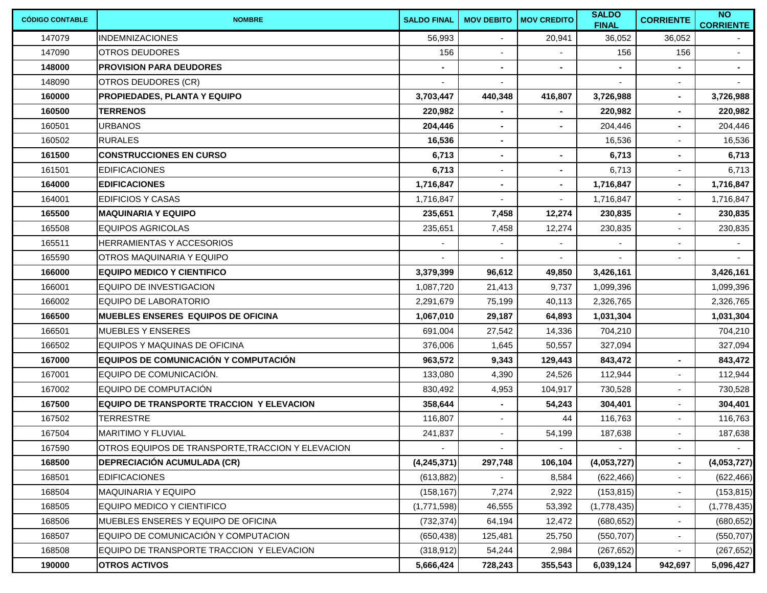| <b>CÓDIGO CONTABLE</b> | <b>NOMBRE</b>                                     | <b>SALDO FINAL</b> | <b>MOV DEBITO</b>        | <b>MOV CREDITO</b> | <b>SALDO</b><br><b>FINAL</b> | <b>CORRIENTE</b>         | <b>NO</b><br><b>CORRIENTE</b> |
|------------------------|---------------------------------------------------|--------------------|--------------------------|--------------------|------------------------------|--------------------------|-------------------------------|
| 147079                 | <b>IINDEMNIZACIONES</b>                           | 56,993             |                          | 20,941             | 36,052                       | 36,052                   |                               |
| 147090                 | <b>OTROS DEUDORES</b>                             | 156                |                          |                    | 156                          | 156                      | $\sim$                        |
| 148000                 | <b>PROVISION PARA DEUDORES</b>                    |                    |                          |                    |                              |                          | $\blacksquare$                |
| 148090                 | OTROS DEUDORES (CR)                               |                    | $\overline{\phantom{a}}$ |                    |                              | $\blacksquare$           |                               |
| 160000                 | <b>PROPIEDADES, PLANTA Y EQUIPO</b>               | 3,703,447          | 440,348                  | 416,807            | 3,726,988                    | $\blacksquare$           | 3,726,988                     |
| 160500                 | <b>TERRENOS</b>                                   | 220,982            |                          |                    | 220,982                      |                          | 220,982                       |
| 160501                 | <b>URBANOS</b>                                    | 204,446            | $\blacksquare$           | $\blacksquare$     | 204,446                      |                          | 204,446                       |
| 160502                 | <b>RURALES</b>                                    | 16,536             | $\blacksquare$           |                    | 16,536                       |                          | 16,536                        |
| 161500                 | <b>CONSTRUCCIONES EN CURSO</b>                    | 6,713              | $\sim$                   | $\blacksquare$     | 6,713                        | $\blacksquare$           | 6,713                         |
| 161501                 | <b>EDIFICACIONES</b>                              | 6,713              | $\blacksquare$           | $\blacksquare$     | 6,713                        | $\blacksquare$           | 6,713                         |
| 164000                 | <b>EDIFICACIONES</b>                              | 1,716,847          | $\blacksquare$           | $\blacksquare$     | 1,716,847                    | $\blacksquare$           | 1,716,847                     |
| 164001                 | <b>EDIFICIOS Y CASAS</b>                          | 1,716,847          | $\blacksquare$           | $\blacksquare$     | 1,716,847                    | $\blacksquare$           | 1,716,847                     |
| 165500                 | <b>MAQUINARIA Y EQUIPO</b>                        | 235,651            | 7,458                    | 12,274             | 230,835                      | ٠                        | 230,835                       |
| 165508                 | <b>EQUIPOS AGRICOLAS</b>                          | 235,651            | 7,458                    | 12,274             | 230,835                      | $\blacksquare$           | 230,835                       |
| 165511                 | HERRAMIENTAS Y ACCESORIOS                         |                    |                          |                    |                              |                          |                               |
| 165590                 | OTROS MAQUINARIA Y EQUIPO                         |                    |                          |                    |                              |                          |                               |
| 166000                 | <b>EQUIPO MEDICO Y CIENTIFICO</b>                 | 3,379,399          | 96,612                   | 49,850             | 3,426,161                    |                          | 3,426,161                     |
| 166001                 | EQUIPO DE INVESTIGACION                           | 1,087,720          | 21,413                   | 9,737              | 1,099,396                    |                          | 1,099,396                     |
| 166002                 | <b>EQUIPO DE LABORATORIO</b>                      | 2,291,679          | 75,199                   | 40,113             | 2,326,765                    |                          | 2,326,765                     |
| 166500                 | <b>MUEBLES ENSERES EQUIPOS DE OFICINA</b>         | 1,067,010          | 29,187                   | 64,893             | 1,031,304                    |                          | 1,031,304                     |
| 166501                 | <b>MUEBLES Y ENSERES</b>                          | 691,004            | 27,542                   | 14,336             | 704,210                      |                          | 704,210                       |
| 166502                 | EQUIPOS Y MAQUINAS DE OFICINA                     | 376,006            | 1,645                    | 50,557             | 327,094                      |                          | 327,094                       |
| 167000                 | EQUIPOS DE COMUNICACIÓN Y COMPUTACIÓN             | 963,572            | 9,343                    | 129,443            | 843,472                      | $\blacksquare$           | 843,472                       |
| 167001                 | EQUIPO DE COMUNICACIÓN.                           | 133,080            | 4,390                    | 24,526             | 112,944                      | $\blacksquare$           | 112,944                       |
| 167002                 | EQUIPO DE COMPUTACIÓN                             | 830,492            | 4,953                    | 104,917            | 730,528                      | $\blacksquare$           | 730,528                       |
| 167500                 | <b>EQUIPO DE TRANSPORTE TRACCION Y ELEVACION</b>  | 358,644            |                          | 54,243             | 304,401                      | $\blacksquare$           | 304,401                       |
| 167502                 | TERRESTRE                                         | 116,807            | $\overline{\phantom{a}}$ | 44                 | 116,763                      |                          | 116,763                       |
| 167504                 | <b>MARITIMO Y FLUVIAL</b>                         | 241,837            |                          | 54,199             | 187,638                      |                          | 187,638                       |
| 167590                 | OTROS EQUIPOS DE TRANSPORTE, TRACCION Y ELEVACION | $\sim$             | $\sim$                   | $\sim$             | $\sim$                       | $\sim$                   |                               |
| 168500                 | <b>DEPRECIACIÓN ACUMULADA (CR)</b>                | (4, 245, 371)      | 297,748                  | 106,104            | (4,053,727)                  |                          | (4,053,727)                   |
| 168501                 | <b>EDIFICACIONES</b>                              | (613, 882)         |                          | 8,584              | (622, 466)                   |                          | (622, 466)                    |
| 168504                 | <b>MAQUINARIA Y EQUIPO</b>                        | (158, 167)         | 7,274                    | 2,922              | (153, 815)                   |                          | (153, 815)                    |
| 168505                 | EQUIPO MEDICO Y CIENTIFICO                        | (1,771,598)        | 46,555                   | 53,392             | (1,778,435)                  | $\overline{\phantom{a}}$ | (1,778,435)                   |
| 168506                 | MUEBLES ENSERES Y EQUIPO DE OFICINA               | (732, 374)         | 64,194                   | 12,472             | (680, 652)                   |                          | (680, 652)                    |
| 168507                 | EQUIPO DE COMUNICACIÓN Y COMPUTACION              | (650, 438)         | 125,481                  | 25,750             | (550, 707)                   | $\sim$                   | (550, 707)                    |
| 168508                 | EQUIPO DE TRANSPORTE TRACCION Y ELEVACION         | (318, 912)         | 54,244                   | 2,984              | (267, 652)                   |                          | (267, 652)                    |
| 190000                 | <b>OTROS ACTIVOS</b>                              | 5,666,424          | 728,243                  | 355,543            | 6,039,124                    | 942,697                  | 5,096,427                     |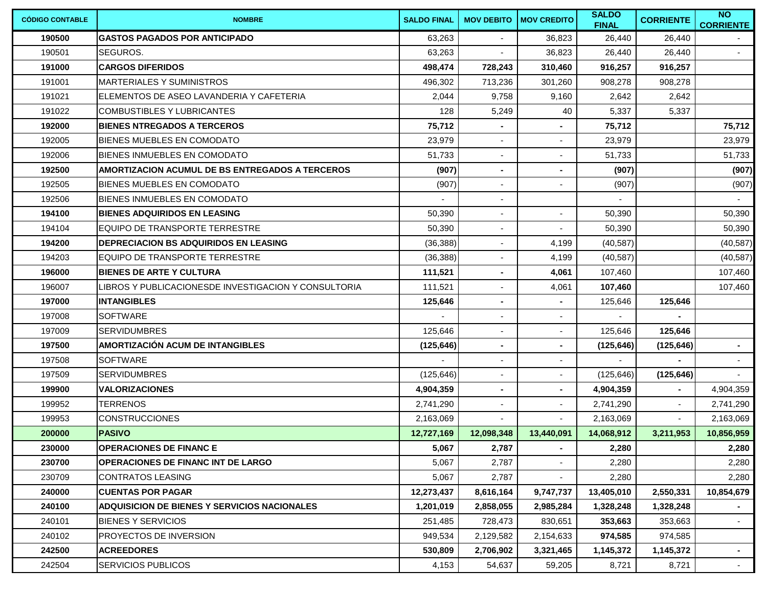| <b>CÓDIGO CONTABLE</b> | <b>NOMBRE</b>                                        | <b>SALDO FINAL</b> | <b>MOV DEBITO</b>        | <b>MOV CREDITO</b> | <b>SALDO</b><br><b>FINAL</b> | <b>CORRIENTE</b> | <b>NO</b><br><b>CORRIENTE</b> |
|------------------------|------------------------------------------------------|--------------------|--------------------------|--------------------|------------------------------|------------------|-------------------------------|
| 190500                 | <b>IGASTOS PAGADOS POR ANTICIPADO</b>                | 63,263             |                          | 36,823             | 26.440                       | 26,440           |                               |
| 190501                 | SEGUROS.                                             | 63,263             |                          | 36,823             | 26,440                       | 26,440           | $\sim$                        |
| 191000                 | <b>CARGOS DIFERIDOS</b>                              | 498,474            | 728,243                  | 310,460            | 916,257                      | 916,257          |                               |
| 191001                 | <b>MARTERIALES Y SUMINISTROS</b>                     | 496,302            | 713,236                  | 301.260            | 908,278                      | 908,278          |                               |
| 191021                 | IELEMENTOS DE ASEO LAVANDERIA Y CAFETERIA            | 2,044              | 9,758                    | 9,160              | 2,642                        | 2,642            |                               |
| 191022                 | <b>COMBUSTIBLES Y LUBRICANTES</b>                    | 128                | 5,249                    | 40                 | 5,337                        | 5,337            |                               |
| 192000                 | <b>BIENES NTREGADOS A TERCEROS</b>                   | 75,712             |                          |                    | 75,712                       |                  | 75,712                        |
| 192005                 | BIENES MUEBLES EN COMODATO                           | 23,979             | $\blacksquare$           |                    | 23,979                       |                  | 23,979                        |
| 192006                 | BIENES INMUEBLES EN COMODATO                         | 51,733             |                          |                    | 51,733                       |                  | 51,733                        |
| 192500                 | AMORTIZACION ACUMUL DE BS ENTREGADOS A TERCEROS      | (907)              |                          |                    | (907)                        |                  | (907)                         |
| 192505                 | IBIENES MUEBLES EN COMODATO                          | (907)              |                          |                    | (907)                        |                  | (907)                         |
| 192506                 | BIENES INMUEBLES EN COMODATO                         |                    | $\blacksquare$           |                    |                              |                  | $\sim$                        |
| 194100                 | <b>BIENES ADQUIRIDOS EN LEASING</b>                  | 50,390             |                          |                    | 50,390                       |                  | 50,390                        |
| 194104                 | EQUIPO DE TRANSPORTE TERRESTRE                       | 50,390             | $\blacksquare$           |                    | 50,390                       |                  | 50,390                        |
| 194200                 | <b>DEPRECIACION BS ADQUIRIDOS EN LEASING</b>         | (36, 388)          | $\blacksquare$           | 4,199              | (40, 587)                    |                  | (40, 587)                     |
| 194203                 | <b>IEQUIPO DE TRANSPORTE TERRESTRE</b>               | (36, 388)          |                          | 4,199              | (40, 587)                    |                  | (40, 587)                     |
| 196000                 | <b>BIENES DE ARTE Y CULTURA</b>                      | 111,521            | $\blacksquare$           | 4,061              | 107,460                      |                  | 107,460                       |
| 196007                 | LIBROS Y PUBLICACIONESDE INVESTIGACION Y CONSULTORIA | 111,521            | $\overline{\phantom{a}}$ | 4,061              | 107,460                      |                  | 107,460                       |
| 197000                 | INTANGIBLES                                          | 125,646            | $\blacksquare$           | $\sim$             | 125,646                      | 125,646          |                               |
| 197008                 | <b>SOFTWARE</b>                                      |                    | $\blacksquare$           |                    |                              |                  |                               |
| 197009                 | <b>SERVIDUMBRES</b>                                  | 125,646            | $\blacksquare$           |                    | 125,646                      | 125,646          |                               |
| 197500                 | <b>AMORTIZACIÓN ACUM DE INTANGIBLES</b>              | (125, 646)         |                          |                    | (125, 646)                   | (125, 646)       | $\blacksquare$                |
| 197508                 | <b>SOFTWARE</b>                                      |                    |                          |                    |                              |                  | $\overline{\phantom{0}}$      |
| 197509                 | <b>SERVIDUMBRES</b>                                  | (125, 646)         |                          |                    | (125, 646)                   | (125, 646)       |                               |
| 199900                 | <b>VALORIZACIONES</b>                                | 4,904,359          | $\blacksquare$           |                    | 4,904,359                    |                  | 4,904,359                     |
| 199952                 | <b>TERRENOS</b>                                      | 2,741,290          |                          |                    | 2,741,290                    |                  | 2,741,290                     |
| 199953                 | <b>CONSTRUCCIONES</b>                                | 2,163,069          | $\overline{\phantom{a}}$ | $\sim$             | 2,163,069                    | $\blacksquare$   | 2,163,069                     |
| 200000                 | <b>PASIVO</b>                                        | 12,727,169         | 12,098,348               | 13,440,091         | 14.068.912                   | 3,211,953        | 10,856,959                    |
| 230000                 | <b>OPERACIONES DE FINANC E</b>                       | 5,067              | 2,787                    | $\sim$             | 2,280                        |                  | 2,280                         |
| 230700                 | <b>OPERACIONES DE FINANC INT DE LARGO</b>            | 5,067              | 2,787                    |                    | 2,280                        |                  | 2,280                         |
| 230709                 | <b>CONTRATOS LEASING</b>                             | 5,067              | 2,787                    |                    | 2,280                        |                  | 2,280                         |
| 240000                 | <b>CUENTAS POR PAGAR</b>                             | 12,273,437         | 8,616,164                | 9,747,737          | 13,405,010                   | 2,550,331        | 10,854,679                    |
| 240100                 | <b>ADQUISICION DE BIENES Y SERVICIOS NACIONALES</b>  | 1,201,019          | 2,858,055                | 2,985,284          | 1,328,248                    | 1,328,248        | $\sim$                        |
| 240101                 | <b>BIENES Y SERVICIOS</b>                            | 251,485            | 728,473                  | 830,651            | 353,663                      | 353,663          | $\sim$                        |
| 240102                 | <b>PROYECTOS DE INVERSION</b>                        | 949,534            | 2,129,582                | 2,154,633          | 974,585                      | 974,585          |                               |
| 242500                 | <b>ACREEDORES</b>                                    | 530,809            | 2,706,902                | 3,321,465          | 1,145,372                    | 1,145,372        | $\sim$                        |
| 242504                 | <b>SERVICIOS PUBLICOS</b>                            | 4,153              | 54,637                   | 59,205             | 8,721                        | 8,721            | $\sim$                        |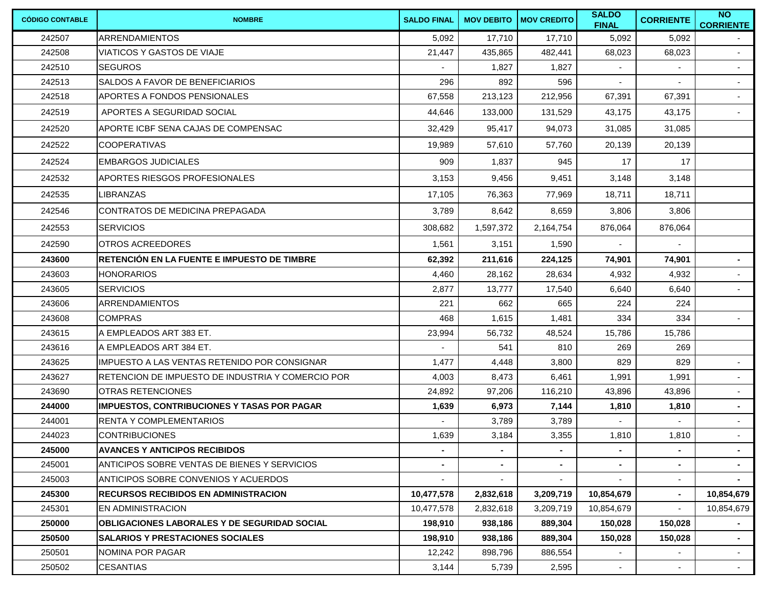| <b>CÓDIGO CONTABLE</b> | <b>NOMBRE</b>                                       | <b>SALDO FINAL</b> |           | <b>MOV DEBITO   MOV CREDITO</b> | <b>SALDO</b><br><b>FINAL</b> | <b>CORRIENTE</b>         | $\overline{N}$<br><b>CORRIENTE</b> |
|------------------------|-----------------------------------------------------|--------------------|-----------|---------------------------------|------------------------------|--------------------------|------------------------------------|
| 242507                 | ARRENDAMIENTOS                                      | 5,092              | 17,710    | 17,710                          | 5,092                        | 5,092                    |                                    |
| 242508                 | <b>VIATICOS Y GASTOS DE VIAJE</b>                   | 21,447             | 435,865   | 482,441                         | 68,023                       | 68,023                   | $\sim$                             |
| 242510                 | <b>SEGUROS</b>                                      |                    | 1,827     | 1,827                           |                              |                          |                                    |
| 242513                 | <b>SALDOS A FAVOR DE BENEFICIARIOS</b>              | 296                | 892       | 596                             | $\blacksquare$               | $\mathbf{r}$             | $\sim$                             |
| 242518                 | <b>APORTES A FONDOS PENSIONALES</b>                 | 67,558             | 213,123   | 212,956                         | 67,391                       | 67,391                   | $\overline{\phantom{a}}$           |
| 242519                 | APORTES A SEGURIDAD SOCIAL                          | 44,646             | 133,000   | 131,529                         | 43,175                       | 43,175                   | $\sim$                             |
| 242520                 | IAPORTE ICBF SENA CAJAS DE COMPENSAC                | 32,429             | 95,417    | 94,073                          | 31,085                       | 31,085                   |                                    |
| 242522                 | <b>COOPERATIVAS</b>                                 | 19,989             | 57,610    | 57,760                          | 20,139                       | 20,139                   |                                    |
| 242524                 | EMBARGOS JUDICIALES                                 | 909                | 1,837     | 945                             | 17                           | 17                       |                                    |
| 242532                 | <b>APORTES RIESGOS PROFESIONALES</b>                | 3,153              | 9,456     | 9,451                           | 3,148                        | 3,148                    |                                    |
| 242535                 | <b>LIBRANZAS</b>                                    | 17,105             | 76,363    | 77,969                          | 18,711                       | 18,711                   |                                    |
| 242546                 | CONTRATOS DE MEDICINA PREPAGADA                     | 3,789              | 8,642     | 8,659                           | 3,806                        | 3,806                    |                                    |
| 242553                 | <b>SERVICIOS</b>                                    | 308,682            | 1,597,372 | 2,164,754                       | 876,064                      | 876,064                  |                                    |
| 242590                 | <b>OTROS ACREEDORES</b>                             | 1,561              | 3,151     | 1,590                           |                              | $\overline{\phantom{a}}$ |                                    |
| 243600                 | RETENCIÓN EN LA FUENTE E IMPUESTO DE TIMBRE         | 62,392             | 211,616   | 224,125                         | 74,901                       | 74,901                   | $\blacksquare$                     |
| 243603                 | <b>HONORARIOS</b>                                   | 4,460              | 28,162    | 28,634                          | 4,932                        | 4,932                    |                                    |
| 243605                 | <b>SERVICIOS</b>                                    | 2,877              | 13,777    | 17,540                          | 6,640                        | 6,640                    | $\sim$                             |
| 243606                 | <b>ARRENDAMIENTOS</b>                               | 221                | 662       | 665                             | 224                          | 224                      |                                    |
| 243608                 | <b>COMPRAS</b>                                      | 468                | 1,615     | 1,481                           | 334                          | 334                      | $\sim$                             |
| 243615                 | A EMPLEADOS ART 383 ET.                             | 23,994             | 56,732    | 48,524                          | 15,786                       | 15,786                   |                                    |
| 243616                 | A EMPLEADOS ART 384 ET.                             |                    | 541       | 810                             | 269                          | 269                      |                                    |
| 243625                 | IMPUESTO A LAS VENTAS RETENIDO POR CONSIGNAR        | 1,477              | 4,448     | 3,800                           | 829                          | 829                      | $\sim$                             |
| 243627                 | RETENCION DE IMPUESTO DE INDUSTRIA Y COMERCIO POR   | 4,003              | 8,473     | 6,461                           | 1,991                        | 1,991                    | $\sim$                             |
| 243690                 | <b>OTRAS RETENCIONES</b>                            | 24,892             | 97,206    | 116,210                         | 43,896                       | 43,896                   | $\sim$                             |
| 244000                 | <b>IMPUESTOS, CONTRIBUCIONES Y TASAS POR PAGAR</b>  | 1,639              | 6,973     | 7,144                           | 1,810                        | 1,810                    | $\blacksquare$                     |
| 244001                 | <b>RENTA Y COMPLEMENTARIOS</b>                      |                    | 3,789     | 3,789                           |                              |                          | $\overline{\phantom{a}}$           |
| 244023                 | <b>CONTRIBUCIONES</b>                               | 1,639              | 3,184     | 3,355                           | 1,810                        | 1,810                    | $\sim$                             |
| 245000                 | <b>AVANCES Y ANTICIPOS RECIBIDOS</b>                | $\blacksquare$     |           |                                 |                              |                          |                                    |
| 245001                 | <b>ANTICIPOS SOBRE VENTAS DE BIENES Y SERVICIOS</b> | $\blacksquare$     |           |                                 | $\blacksquare$               | $\blacksquare$           | $\sim$                             |
| 245003                 | <b>ANTICIPOS SOBRE CONVENIOS Y ACUERDOS</b>         |                    |           |                                 |                              |                          |                                    |
| 245300                 | <b>IRECURSOS RECIBIDOS EN ADMINISTRACION</b>        | 10,477,578         | 2,832,618 | 3,209,719                       | 10,854,679                   | $\blacksquare$           | 10,854,679                         |
| 245301                 | EN ADMINISTRACION                                   | 10,477,578         | 2,832,618 | 3,209,719                       | 10,854,679                   |                          | 10,854,679                         |
| 250000                 | <b>OBLIGACIONES LABORALES Y DE SEGURIDAD SOCIAL</b> | 198,910            | 938,186   | 889,304                         | 150,028                      | 150,028                  | $\sim$                             |
| 250500                 | <b>SALARIOS Y PRESTACIONES SOCIALES</b>             | 198,910            | 938,186   | 889,304                         | 150.028                      | 150.028                  | $\blacksquare$                     |
| 250501                 | NOMINA POR PAGAR                                    | 12,242             | 898,796   | 886,554                         | $\blacksquare$               | $\overline{\phantom{a}}$ | $\sim$                             |
| 250502                 | <b>CESANTIAS</b>                                    | 3,144              | 5,739     | 2,595                           | $\overline{\phantom{a}}$     |                          | $\sim$                             |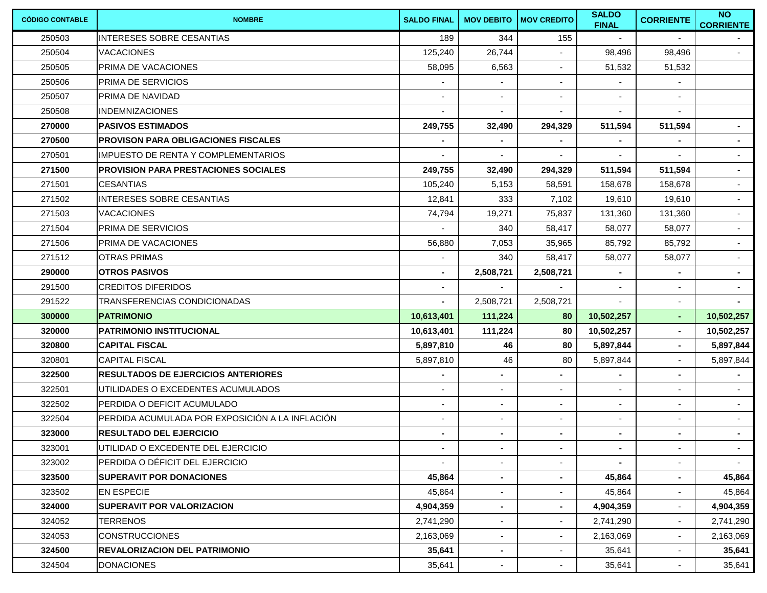| <b>CÓDIGO CONTABLE</b> | <b>NOMBRE</b>                                   | <b>SALDO FINAL</b>       |                          | <b>MOV DEBITO   MOV CREDITO</b> | <b>SALDO</b><br><b>FINAL</b> | <b>CORRIENTE</b>         | $\overline{N}$<br><b>CORRIENTE</b> |
|------------------------|-------------------------------------------------|--------------------------|--------------------------|---------------------------------|------------------------------|--------------------------|------------------------------------|
| 250503                 | <b>INTERESES SOBRE CESANTIAS</b>                | 189                      | 344                      | 155                             |                              |                          |                                    |
| 250504                 | <b>VACACIONES</b>                               | 125,240                  | 26,744                   |                                 | 98,496                       | 98,496                   | $\sim 10$                          |
| 250505                 | <b>PRIMA DE VACACIONES</b>                      | 58,095                   | 6,563                    |                                 | 51,532                       | 51,532                   |                                    |
| 250506                 | PRIMA DE SERVICIOS                              | ä,                       | $\sim$                   | $\blacksquare$                  | $\blacksquare$               | $\blacksquare$           |                                    |
| 250507                 | <b>PRIMA DE NAVIDAD</b>                         |                          |                          |                                 |                              |                          |                                    |
| 250508                 | <b>INDEMNIZACIONES</b>                          | ä,                       | $\blacksquare$           |                                 | $\blacksquare$               | $\sim$                   |                                    |
| 270000                 | <b>PASIVOS ESTIMADOS</b>                        | 249,755                  | 32,490                   | 294,329                         | 511,594                      | 511,594                  | $\sim$                             |
| 270500                 | <b>IPROVISON PARA OBLIGACIONES FISCALES</b>     |                          | $\blacksquare$           |                                 | $\blacksquare$               | ٠                        | $\blacksquare$                     |
| 270501                 | <b>IMPUESTO DE RENTA Y COMPLEMENTARIOS</b>      |                          |                          |                                 |                              |                          | $\sim$                             |
| 271500                 | <b>PROVISION PARA PRESTACIONES SOCIALES</b>     | 249,755                  | 32,490                   | 294,329                         | 511,594                      | 511,594                  | $\blacksquare$                     |
| 271501                 | <b>CESANTIAS</b>                                | 105,240                  | 5,153                    | 58,591                          | 158,678                      | 158,678                  | $\sim$                             |
| 271502                 | <b>INTERESES SOBRE CESANTIAS</b>                | 12,841                   | 333                      | 7,102                           | 19,610                       | 19,610                   | $\sim$                             |
| 271503                 | <b>VACACIONES</b>                               | 74,794                   | 19,271                   | 75,837                          | 131,360                      | 131,360                  | $\sim$                             |
| 271504                 | <b>PRIMA DE SERVICIOS</b>                       |                          | 340                      | 58,417                          | 58,077                       | 58,077                   | $\sim$                             |
| 271506                 | <b>PRIMA DE VACACIONES</b>                      | 56,880                   | 7,053                    | 35,965                          | 85,792                       | 85,792                   | $\sim$                             |
| 271512                 | <b>OTRAS PRIMAS</b>                             |                          | 340                      | 58,417                          | 58,077                       | 58,077                   | $\sim$                             |
| 290000                 | <b>OTROS PASIVOS</b>                            |                          | 2,508,721                | 2,508,721                       |                              | ٠                        | $\sim$                             |
| 291500                 | <b>CREDITOS DIFERIDOS</b>                       |                          |                          |                                 |                              | $\blacksquare$           | $\sim$                             |
| 291522                 | TRANSFERENCIAS CONDICIONADAS                    |                          | 2,508,721                | 2,508,721                       | $\overline{\phantom{a}}$     | $\blacksquare$           | $\blacksquare$                     |
| 300000                 | <b>PATRIMONIO</b>                               | 10,613,401               | 111,224                  | 80                              | 10,502,257                   | ٠                        | 10,502,257                         |
| 320000                 | IPATRIMONIO INSTITUCIONAL                       | 10,613,401               | 111,224                  | 80                              | 10,502,257                   | ٠                        | 10,502,257                         |
| 320800                 | <b>CAPITAL FISCAL</b>                           | 5,897,810                | 46                       | 80                              | 5,897,844                    | $\blacksquare$           | 5,897,844                          |
| 320801                 | <b>CAPITAL FISCAL</b>                           | 5,897,810                | 46                       | 80                              | 5,897,844                    | $\blacksquare$           | 5,897,844                          |
| 322500                 | <b>RESULTADOS DE EJERCICIOS ANTERIORES</b>      |                          |                          |                                 |                              | $\blacksquare$           |                                    |
| 322501                 | UTILIDADES O EXCEDENTES ACUMULADOS              |                          |                          |                                 | $\blacksquare$               | $\blacksquare$           | $\sim$                             |
| 322502                 | <b>PERDIDA O DEFICIT ACUMULADO</b>              |                          | $\blacksquare$           |                                 | $\blacksquare$               | $\blacksquare$           | $\sim$                             |
| 322504                 | PERDIDA ACUMULADA POR EXPOSICIÓN A LA INFLACIÓN | ٠                        | $\blacksquare$           | $\overline{\phantom{a}}$        | $\blacksquare$               | $\blacksquare$           | $\sim$                             |
| 323000                 | <b>RESULTADO DEL EJERCICIO</b>                  |                          | $\blacksquare$           | $\blacksquare$                  | $\blacksquare$               | $\blacksquare$           | $\sim$                             |
| 323001                 | UTILIDAD O EXCEDENTE DEL EJERCICIO              | $\overline{\phantom{a}}$ | $\blacksquare$           | $\overline{\phantom{a}}$        | $\blacksquare$               | $\sim$                   | $\sim$                             |
| 323002                 | IPERDIDA O DÉFICIT DEL EJERCICIO                |                          | $\overline{\phantom{a}}$ |                                 |                              | $\overline{\phantom{a}}$ | $\sim$                             |
| 323500                 | <b>SUPERAVIT POR DONACIONES</b>                 | 45,864                   | $\blacksquare$           | $\blacksquare$                  | 45,864                       | $\sim$                   | 45,864                             |
| 323502                 | <b>EN ESPECIE</b>                               | 45,864                   |                          |                                 | 45,864                       | $\blacksquare$           | 45,864                             |
| 324000                 | <b>SUPERAVIT POR VALORIZACION</b>               | 4,904,359                | $\blacksquare$           |                                 | 4,904,359                    | $\overline{\phantom{a}}$ | 4,904,359                          |
| 324052                 | <b>TERRENOS</b>                                 | 2,741,290                |                          |                                 | 2,741,290                    |                          | 2,741,290                          |
| 324053                 | <b>CONSTRUCCIONES</b>                           | 2,163,069                |                          |                                 | 2,163,069                    | $\blacksquare$           | 2,163,069                          |
| 324500                 | <b>IREVALORIZACION DEL PATRIMONIO</b>           | 35,641                   | $\blacksquare$           |                                 | 35,641                       | $\blacksquare$           | 35,641                             |
| 324504                 | <b>DONACIONES</b>                               | 35,641                   | $\overline{\phantom{a}}$ |                                 | 35,641                       |                          | 35,641                             |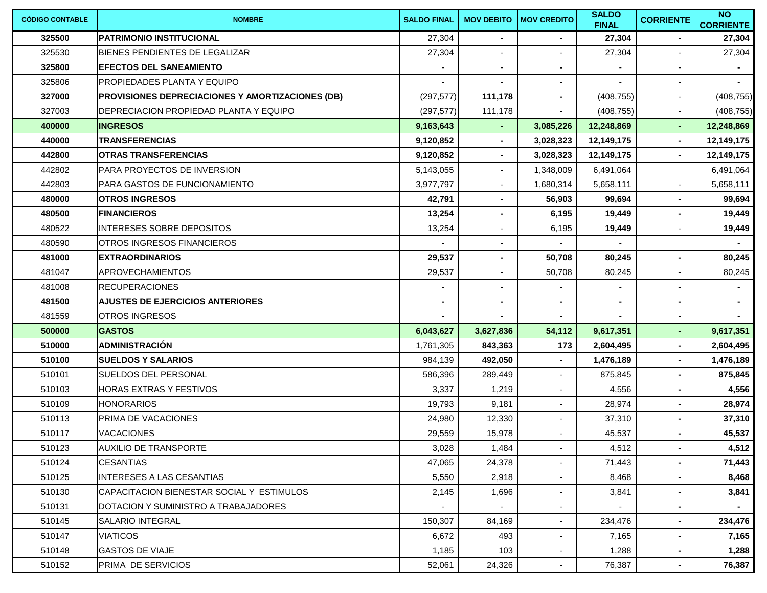| <b>CÓDIGO CONTABLE</b> | <b>NOMBRE</b>                                    | <b>SALDO FINAL</b> | <b>MOV DEBITO</b> | <b>MOV CREDITO</b>       | <b>SALDO</b><br><b>FINAL</b> | <b>CORRIENTE</b>         | $\overline{N}$<br><b>CORRIENTE</b> |
|------------------------|--------------------------------------------------|--------------------|-------------------|--------------------------|------------------------------|--------------------------|------------------------------------|
| 325500                 | <b>PATRIMONIO INSTITUCIONAL</b>                  | 27,304             |                   |                          | 27,304                       |                          | 27,304                             |
| 325530                 | BIENES PENDIENTES DE LEGALIZAR                   | 27,304             |                   |                          | 27,304                       | $\blacksquare$           | 27,304                             |
| 325800                 | <b>EFECTOS DEL SANEAMIENTO</b>                   |                    |                   |                          |                              |                          |                                    |
| 325806                 | <b>PROPIEDADES PLANTA Y EQUIPO</b>               |                    | $\sim$            | $\blacksquare$           | $\mathbf{r}$                 | $\overline{\phantom{a}}$ | $\sim$                             |
| 327000                 | PROVISIONES DEPRECIACIONES Y AMORTIZACIONES (DB) | (297, 577)         | 111,178           |                          | (408, 755)                   | $\overline{\phantom{a}}$ | (408, 755)                         |
| 327003                 | DEPRECIACION PROPIEDAD PLANTA Y EQUIPO           | (297, 577)         | 111,178           | $\blacksquare$           | (408, 755)                   | $\blacksquare$           | (408, 755)                         |
| 400000                 | <b>INGRESOS</b>                                  | 9,163,643          |                   | 3,085,226                | 12,248,869                   | $\blacksquare$           | 12,248,869                         |
| 440000                 | <b>TRANSFERENCIAS</b>                            | 9,120,852          | $\sim$            | 3,028,323                | 12,149,175                   | $\blacksquare$           | 12,149,175                         |
| 442800                 | <b>OTRAS TRANSFERENCIAS</b>                      | 9,120,852          |                   | 3,028,323                | 12,149,175                   |                          | 12,149,175                         |
| 442802                 | PARA PROYECTOS DE INVERSION                      | 5,143,055          | $\blacksquare$    | 1,348,009                | 6,491,064                    |                          | 6,491,064                          |
| 442803                 | PARA GASTOS DE FUNCIONAMIENTO                    | 3,977,797          |                   | 1,680,314                | 5,658,111                    |                          | 5,658,111                          |
| 480000                 | <b>OTROS INGRESOS</b>                            | 42,791             | $\blacksquare$    | 56,903                   | 99,694                       | $\blacksquare$           | 99,694                             |
| 480500                 | <b>FINANCIEROS</b>                               | 13,254             | $\blacksquare$    | 6,195                    | 19,449                       | $\blacksquare$           | 19,449                             |
| 480522                 | INTERESES SOBRE DEPOSITOS                        | 13,254             |                   | 6,195                    | 19,449                       |                          | 19,449                             |
| 480590                 | OTROS INGRESOS FINANCIEROS                       |                    | $\sim$            |                          | $\sim$                       |                          | $\sim$                             |
| 481000                 | <b>EXTRAORDINARIOS</b>                           | 29,537             | $\blacksquare$    | 50,708                   | 80,245                       | $\blacksquare$           | 80,245                             |
| 481047                 | <b>APROVECHAMIENTOS</b>                          | 29,537             | $\blacksquare$    | 50,708                   | 80,245                       | $\blacksquare$           | 80,245                             |
| 481008                 | <b>RECUPERACIONES</b>                            |                    | $\blacksquare$    |                          |                              | $\blacksquare$           | $\sim$                             |
| 481500                 | <b>AJUSTES DE EJERCICIOS ANTERIORES</b>          | $\blacksquare$     | $\sim$            | $\blacksquare$           | $\blacksquare$               | $\blacksquare$           | $\sim$                             |
| 481559                 | <b>OTROS INGRESOS</b>                            |                    |                   |                          |                              | $\blacksquare$           | $\blacksquare$                     |
| 500000                 | <b>GASTOS</b>                                    | 6,043,627          | 3,627,836         | 54,112                   | 9,617,351                    | $\blacksquare$           | 9,617,351                          |
| 510000                 | <b>ADMINISTRACIÓN</b>                            | 1,761,305          | 843,363           | 173                      | 2,604,495                    | $\blacksquare$           | 2,604,495                          |
| 510100                 | <b>SUELDOS Y SALARIOS</b>                        | 984,139            | 492,050           | $\blacksquare$           | 1,476,189                    | $\blacksquare$           | 1,476,189                          |
| 510101                 | <b>SUELDOS DEL PERSONAL</b>                      | 586,396            | 289,449           |                          | 875,845                      | $\blacksquare$           | 875,845                            |
| 510103                 | HORAS EXTRAS Y FESTIVOS                          | 3,337              | 1,219             |                          | 4,556                        | $\blacksquare$           | 4,556                              |
| 510109                 | <b>HONORARIOS</b>                                | 19,793             | 9,181             |                          | 28,974                       | $\blacksquare$           | 28,974                             |
| 510113                 | PRIMA DE VACACIONES                              | 24,980             | 12,330            | $\blacksquare$           | 37,310                       | $\blacksquare$           | 37,310                             |
| 510117                 | <b>VACACIONES</b>                                | 29,559             | 15,978            |                          | 45,537                       | $\blacksquare$           | 45,537                             |
| 510123                 | <b>AUXILIO DE TRANSPORTE</b>                     | 3,028              | 1,484             | $\sim$                   | 4,512                        | $\blacksquare$           | 4,512                              |
| 510124                 | <b>CESANTIAS</b>                                 | 47,065             | 24,378            |                          | 71,443                       | $\blacksquare$           | 71,443                             |
| 510125                 | <b>INTERESES A LAS CESANTIAS</b>                 | 5,550              | 2,918             | $\overline{\phantom{a}}$ | 8,468                        | $\blacksquare$           | 8,468                              |
| 510130                 | CAPACITACION BIENESTAR SOCIAL Y ESTIMULOS        | 2,145              | 1,696             |                          | 3,841                        | $\blacksquare$           | 3,841                              |
| 510131                 | DOTACION Y SUMINISTRO A TRABAJADORES             | $\blacksquare$     | $\sim$            | $\overline{\phantom{a}}$ | $\blacksquare$               | $\blacksquare$           | $\sim$                             |
| 510145                 | <b>SALARIO INTEGRAL</b>                          | 150,307            | 84,169            | $\sim$                   | 234,476                      | $\blacksquare$           | 234,476                            |
| 510147                 | <b>VIATICOS</b>                                  | 6,672              | 493               |                          | 7,165                        | $\blacksquare$           | 7,165                              |
| 510148                 | <b>GASTOS DE VIAJE</b>                           | 1,185              | 103               | $\sim$                   | 1,288                        | $\blacksquare$           | 1,288                              |
| 510152                 | PRIMA DE SERVICIOS                               | 52,061             | 24,326            | ٠                        | 76,387                       | $\sim$                   | 76,387                             |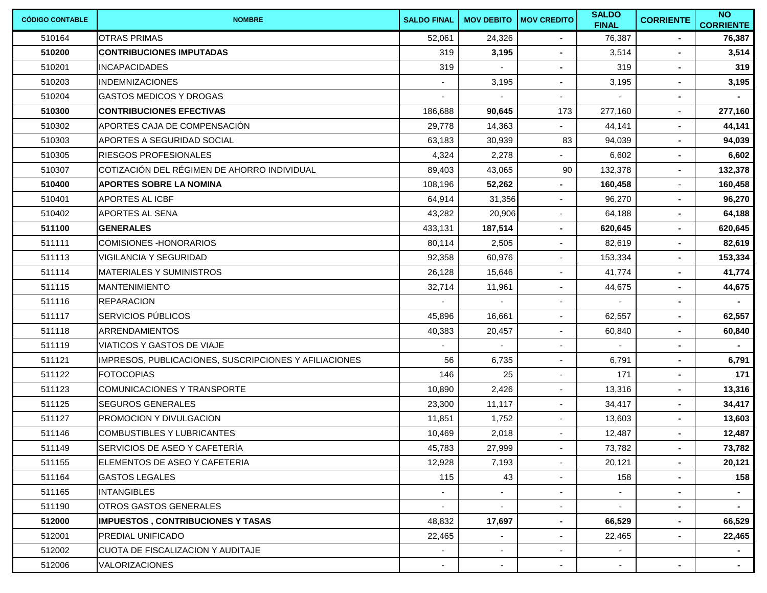| <b>CÓDIGO CONTABLE</b> | <b>NOMBRE</b>                                         | <b>SALDO FINAL</b> | <b>MOV DEBITO</b> | <b>MOV CREDITO</b>       | <b>SALDO</b><br><b>FINAL</b> | <b>CORRIENTE</b> | $\overline{N}$<br><b>CORRIENTE</b> |
|------------------------|-------------------------------------------------------|--------------------|-------------------|--------------------------|------------------------------|------------------|------------------------------------|
| 510164                 | <b>OTRAS PRIMAS</b>                                   | 52,061             | 24,326            |                          | 76,387                       |                  | 76,387                             |
| 510200                 | <b>CONTRIBUCIONES IMPUTADAS</b>                       | 319                | 3,195             | $\blacksquare$           | 3,514                        | ٠                | 3,514                              |
| 510201                 | <b>INCAPACIDADES</b>                                  | 319                |                   | $\sim$                   | 319                          | $\blacksquare$   | 319                                |
| 510203                 | <b>INDEMNIZACIONES</b>                                |                    | 3,195             | $\blacksquare$           | 3,195                        | $\blacksquare$   | 3,195                              |
| 510204                 | <b>GASTOS MEDICOS Y DROGAS</b>                        |                    |                   | $\blacksquare$           |                              | $\blacksquare$   |                                    |
| 510300                 | <b>CONTRIBUCIONES EFECTIVAS</b>                       | 186,688            | 90,645            | 173                      | 277,160                      | $\blacksquare$   | 277,160                            |
| 510302                 | APORTES CAJA DE COMPENSACIÓN                          | 29,778             | 14,363            |                          | 44,141                       | $\blacksquare$   | 44,141                             |
| 510303                 | <b>APORTES A SEGURIDAD SOCIAL</b>                     | 63,183             | 30,939            | 83                       | 94,039                       | $\blacksquare$   | 94,039                             |
| 510305                 | <b>IRIESGOS PROFESIONALES</b>                         | 4,324              | 2,278             |                          | 6,602                        | ٠                | 6,602                              |
| 510307                 | COTIZACIÓN DEL RÉGIMEN DE AHORRO INDIVIDUAL           | 89,403             | 43,065            | 90                       | 132,378                      | $\blacksquare$   | 132,378                            |
| 510400                 | <b>APORTES SOBRE LA NOMINA</b>                        | 108,196            | 52,262            |                          | 160,458                      | $\blacksquare$   | 160,458                            |
| 510401                 | APORTES AL ICBF                                       | 64,914             | 31,356            |                          | 96,270                       | $\blacksquare$   | 96,270                             |
| 510402                 | APORTES AL SENA                                       | 43,282             | 20,906            |                          | 64,188                       | $\blacksquare$   | 64,188                             |
| 511100                 | <b>GENERALES</b>                                      | 433,131            | 187,514           |                          | 620,645                      | $\blacksquare$   | 620,645                            |
| 511111                 | <b>COMISIONES-HONORARIOS</b>                          | 80,114             | 2,505             | $\overline{\phantom{a}}$ | 82,619                       | $\blacksquare$   | 82,619                             |
| 511113                 | <b>VIGILANCIA Y SEGURIDAD</b>                         | 92,358             | 60,976            | $\overline{\phantom{a}}$ | 153,334                      | $\blacksquare$   | 153,334                            |
| 511114                 | <b>MATERIALES Y SUMINISTROS</b>                       | 26,128             | 15,646            |                          | 41,774                       | $\blacksquare$   | 41,774                             |
| 511115                 | <b>MANTENIMIENTO</b>                                  | 32,714             | 11,961            |                          | 44,675                       | $\blacksquare$   | 44,675                             |
| 511116                 | <b>REPARACION</b>                                     |                    |                   | $\blacksquare$           |                              | $\blacksquare$   | $\sim$                             |
| 511117                 | <b>SERVICIOS PÚBLICOS</b>                             | 45,896             | 16,661            | $\blacksquare$           | 62,557                       | $\blacksquare$   | 62,557                             |
| 511118                 | <b>ARRENDAMIENTOS</b>                                 | 40,383             | 20,457            | $\overline{\phantom{a}}$ | 60,840                       | $\blacksquare$   | 60,840                             |
| 511119                 | <b>VIATICOS Y GASTOS DE VIAJE</b>                     |                    |                   | $\overline{\phantom{a}}$ |                              | ٠                |                                    |
| 511121                 | IMPRESOS, PUBLICACIONES, SUSCRIPCIONES Y AFILIACIONES | 56                 | 6,735             | $\overline{\phantom{a}}$ | 6,791                        | $\blacksquare$   | 6,791                              |
| 511122                 | <b>FOTOCOPIAS</b>                                     | 146                | 25                | $\overline{\phantom{a}}$ | 171                          | $\blacksquare$   | 171                                |
| 511123                 | COMUNICACIONES Y TRANSPORTE                           | 10,890             | 2,426             | $\overline{\phantom{a}}$ | 13,316                       | $\blacksquare$   | 13,316                             |
| 511125                 | <b>SEGUROS GENERALES</b>                              | 23,300             | 11,117            | $\blacksquare$           | 34,417                       | $\blacksquare$   | 34,417                             |
| 511127                 | <b>PROMOCION Y DIVULGACION</b>                        | 11,851             | 1,752             | $\overline{\phantom{a}}$ | 13,603                       | ٠                | 13,603                             |
| 511146                 | <b>COMBUSTIBLES Y LUBRICANTES</b>                     | 10,469             | 2,018             |                          | 12,487                       | $\blacksquare$   | 12,487                             |
| 511149                 | SERVICIOS DE ASEO Y CAFETERÍA                         | 45,783             | 27,999            | $\sim$                   | 73,782                       | $\blacksquare$   | 73,782                             |
| 511155                 | ELEMENTOS DE ASEO Y CAFETERIA                         | 12,928             | 7,193             |                          | 20,121                       | $\blacksquare$   | 20,121                             |
| 511164                 | <b>GASTOS LEGALES</b>                                 | 115                | 43                | $\overline{\phantom{a}}$ | 158                          | $\blacksquare$   | 158                                |
| 511165                 | <b>INTANGIBLES</b>                                    |                    |                   | $\overline{\phantom{a}}$ |                              | $\blacksquare$   | $\sim$                             |
| 511190                 | <b>OTROS GASTOS GENERALES</b>                         | $\blacksquare$     | $\blacksquare$    | $\overline{\phantom{a}}$ | $\blacksquare$               | $\blacksquare$   | $\sim$                             |
| 512000                 | <b>IMPUESTOS, CONTRIBUCIONES Y TASAS</b>              | 48,832             | 17,697            | $\blacksquare$           | 66,529                       | $\blacksquare$   | 66,529                             |
| 512001                 | <b>PREDIAL UNIFICADO</b>                              | 22,465             |                   |                          | 22,465                       | $\blacksquare$   | 22,465                             |
| 512002                 | CUOTA DE FISCALIZACION Y AUDITAJE                     |                    |                   |                          |                              |                  |                                    |
| 512006                 | VALORIZACIONES                                        |                    |                   |                          |                              | $\sim$           |                                    |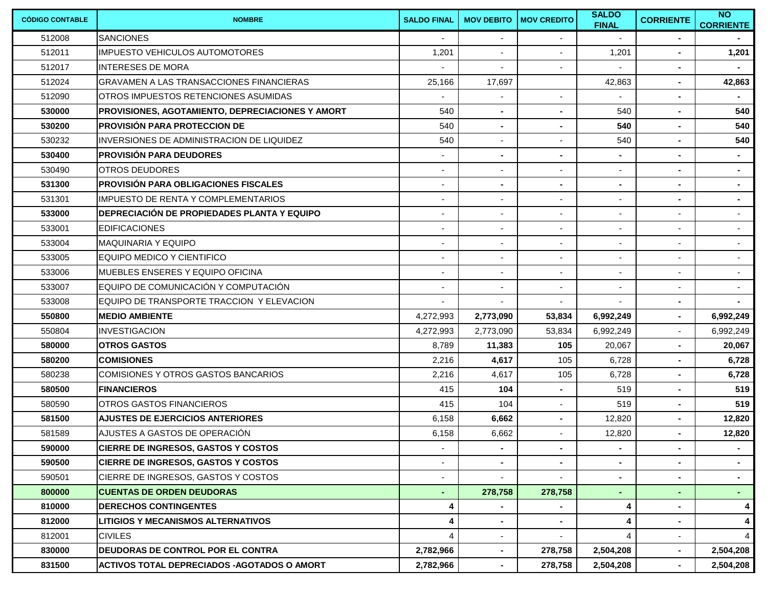| <b>CÓDIGO CONTABLE</b> | <b>NOMBRE</b>                                           | <b>SALDO FINAL</b> | <b>MOV DEBITO</b>        | <b>MOV CREDITO</b>       | <b>SALDO</b><br><b>FINAL</b> | <b>CORRIENTE</b>         | $\overline{N}$<br><b>CORRIENTE</b> |
|------------------------|---------------------------------------------------------|--------------------|--------------------------|--------------------------|------------------------------|--------------------------|------------------------------------|
| 512008                 | <b>SANCIONES</b>                                        |                    |                          |                          |                              | ٠                        |                                    |
| 512011                 | IIMPUESTO VEHICULOS AUTOMOTORES                         | 1,201              |                          | $\blacksquare$           | 1,201                        | ٠                        | 1,201                              |
| 512017                 | <b>INTERESES DE MORA</b>                                |                    |                          |                          |                              | $\blacksquare$           |                                    |
| 512024                 | <b>GRAVAMEN A LAS TRANSACCIONES FINANCIERAS</b>         | 25,166             | 17,697                   |                          | 42,863                       | ٠                        | 42,863                             |
| 512090                 | OTROS IMPUESTOS RETENCIONES ASUMIDAS                    |                    |                          | $\overline{\phantom{a}}$ |                              | $\blacksquare$           |                                    |
| 530000                 | <b>PROVISIONES, AGOTAMIENTO, DEPRECIACIONES Y AMORT</b> | 540                |                          | $\blacksquare$           | 540                          | ٠                        | 540                                |
| 530200                 | <b>PROVISIÓN PARA PROTECCION DE</b>                     | 540                | $\blacksquare$           | $\blacksquare$           | 540                          | $\blacksquare$           | 540                                |
| 530232                 | IINVERSIONES DE ADMINISTRACION DE LIQUIDEZ              | 540                |                          |                          | 540                          | $\blacksquare$           | 540                                |
| 530400                 | <b>IPROVISIÓN PARA DEUDORES</b>                         |                    |                          | $\blacksquare$           |                              | ٠                        | $\sim$                             |
| 530490                 | <b>OTROS DEUDORES</b>                                   | $\overline{a}$     | $\overline{\phantom{a}}$ | $\overline{\phantom{a}}$ | $\overline{\phantom{a}}$     | $\blacksquare$           | $\blacksquare$                     |
| 531300                 | <b>PROVISIÓN PARA OBLIGACIONES FISCALES</b>             | $\blacksquare$     | $\blacksquare$           | $\blacksquare$           | $\blacksquare$               | ٠                        | $\blacksquare$                     |
| 531301                 | IIMPUESTO DE RENTA Y COMPLEMENTARIOS                    |                    |                          | $\blacksquare$           | $\blacksquare$               | ٠                        | $\blacksquare$                     |
| 533000                 | <b>IDEPRECIACIÓN DE PROPIEDADES PLANTA Y EQUIPO</b>     |                    |                          | $\blacksquare$           |                              | $\overline{\phantom{a}}$ | $\sim$                             |
| 533001                 | <b>EDIFICACIONES</b>                                    |                    |                          |                          |                              | $\blacksquare$           | $\sim$                             |
| 533004                 | <b>MAQUINARIA Y EQUIPO</b>                              | $\blacksquare$     | $\overline{\phantom{a}}$ | $\overline{\phantom{a}}$ | $\blacksquare$               | $\blacksquare$           | $\sim$                             |
| 533005                 | IEQUIPO MEDICO Y CIENTIFICO                             |                    |                          | $\blacksquare$           | $\blacksquare$               |                          | $\sim$                             |
| 533006                 | <b>MUEBLES ENSERES Y EQUIPO OFICINA</b>                 |                    |                          | $\blacksquare$           |                              | $\blacksquare$           | $\sim$                             |
| 533007                 | EQUIPO DE COMUNICACIÓN Y COMPUTACIÓN                    |                    |                          | $\blacksquare$           |                              | $\overline{a}$           | $\sim$                             |
| 533008                 | EQUIPO DE TRANSPORTE TRACCION Y ELEVACION               | $\blacksquare$     | $\overline{\phantom{a}}$ | $\overline{\phantom{a}}$ | $\blacksquare$               | $\blacksquare$           | $\blacksquare$                     |
| 550800                 | <b>IMEDIO AMBIENTE</b>                                  | 4,272,993          | 2,773,090                | 53,834                   | 6,992,249                    | $\blacksquare$           | 6,992,249                          |
| 550804                 | <b>INVESTIGACION</b>                                    | 4,272,993          | 2,773,090                | 53,834                   | 6,992,249                    | $\blacksquare$           | 6,992,249                          |
| 580000                 | <b>OTROS GASTOS</b>                                     | 8,789              | 11,383                   | 105                      | 20,067                       | $\blacksquare$           | 20,067                             |
| 580200                 | <b>COMISIONES</b>                                       | 2,216              | 4,617                    | 105                      | 6,728                        | $\blacksquare$           | 6,728                              |
| 580238                 | COMISIONES Y OTROS GASTOS BANCARIOS                     | 2,216              | 4,617                    | 105                      | 6,728                        | ٠                        | 6,728                              |
| 580500                 | <b>FINANCIEROS</b>                                      | 415                | 104                      | $\blacksquare$           | 519                          | $\blacksquare$           | 519                                |
| 580590                 | <b>OTROS GASTOS FINANCIEROS</b>                         | 415                | 104                      | $\blacksquare$           | 519                          | ٠                        | 519                                |
| 581500                 | <b>AJUSTES DE EJERCICIOS ANTERIORES</b>                 | 6,158              | 6,662                    | $\blacksquare$           | 12,820                       | ٠                        | 12,820                             |
| 581589                 | AJUSTES A GASTOS DE OPERACIÓN                           | 6,158              | 6,662                    |                          | 12,820                       | $\blacksquare$           | 12,820                             |
| 590000                 | <b>CIERRE DE INGRESOS, GASTOS Y COSTOS</b>              |                    | $\sim$                   | $\sim$                   | $\sim$                       | $\blacksquare$           | $\sim$                             |
| 590500                 | <b>CIERRE DE INGRESOS, GASTOS Y COSTOS</b>              | ٠                  | $\blacksquare$           | $\sim$                   | $\blacksquare$               | $\blacksquare$           | $\sim$                             |
| 590501                 | CIERRE DE INGRESOS, GASTOS Y COSTOS                     |                    |                          |                          | $\blacksquare$               | $\blacksquare$           | $\bullet$ .                        |
| 800000                 | <b>CUENTAS DE ORDEN DEUDORAS</b>                        | ٠                  | 278,758                  | 278,758                  | $\blacksquare$               | $\blacksquare$           | $\sim$                             |
| 810000                 | <b>DERECHOS CONTINGENTES</b>                            | 4                  |                          | $\sim$                   | 4                            | $\blacksquare$           | 4                                  |
| 812000                 | <b>LITIGIOS Y MECANISMOS ALTERNATIVOS</b>               | 4                  | $\blacksquare$           | $\sim$                   | 4                            | $\blacksquare$           | 4                                  |
| 812001                 | <b>CIVILES</b>                                          | $\overline{4}$     |                          |                          | 4                            |                          | 4                                  |
| 830000                 | <b>IDEUDORAS DE CONTROL POR EL CONTRA</b>               | 2,782,966          | $\sim$                   | 278,758                  | 2,504,208                    | ۰.                       | 2,504,208                          |
| 831500                 | <b>ACTIVOS TOTAL DEPRECIADOS -AGOTADOS O AMORT</b>      | 2,782,966          | $\blacksquare$           | 278,758                  | 2,504,208                    | $\sim$                   | 2,504,208                          |